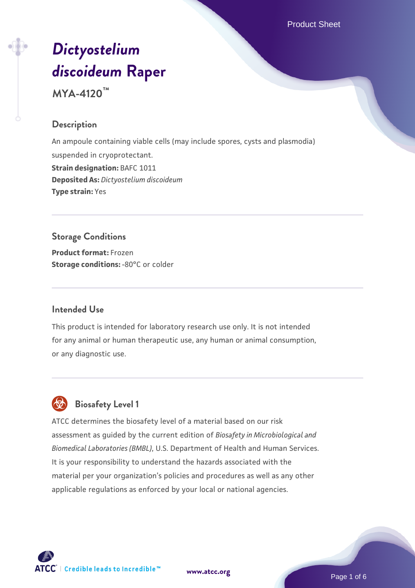Product Sheet

# *[Dictyostelium](https://www.atcc.org/products/mya-4120) [discoideum](https://www.atcc.org/products/mya-4120)* **[Raper](https://www.atcc.org/products/mya-4120)**

**MYA-4120™**

## **Description**

An ampoule containing viable cells (may include spores, cysts and plasmodia) suspended in cryoprotectant. **Strain designation:** BAFC 1011 **Deposited As:** *Dictyostelium discoideum* **Type strain:** Yes

# **Storage Conditions**

**Product format:** Frozen **Storage conditions: -80°C or colder** 

## **Intended Use**

This product is intended for laboratory research use only. It is not intended for any animal or human therapeutic use, any human or animal consumption, or any diagnostic use.



## **Biosafety Level 1**

ATCC determines the biosafety level of a material based on our risk assessment as guided by the current edition of *Biosafety in Microbiological and Biomedical Laboratories (BMBL)*, U.S. Department of Health and Human Services. It is your responsibility to understand the hazards associated with the material per your organization's policies and procedures as well as any other applicable regulations as enforced by your local or national agencies.



**[www.atcc.org](http://www.atcc.org)**

Page 1 of 6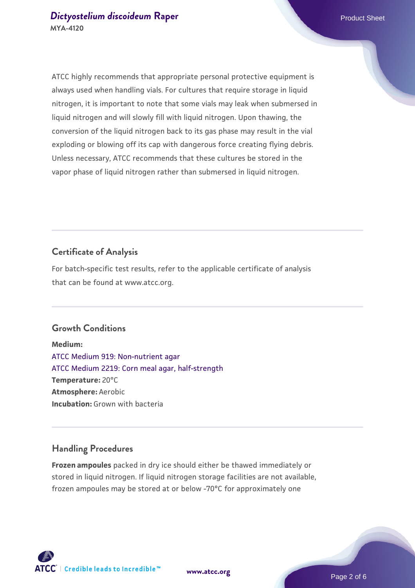ATCC highly recommends that appropriate personal protective equipment is always used when handling vials. For cultures that require storage in liquid nitrogen, it is important to note that some vials may leak when submersed in liquid nitrogen and will slowly fill with liquid nitrogen. Upon thawing, the conversion of the liquid nitrogen back to its gas phase may result in the vial exploding or blowing off its cap with dangerous force creating flying debris. Unless necessary, ATCC recommends that these cultures be stored in the vapor phase of liquid nitrogen rather than submersed in liquid nitrogen.

## **Certificate of Analysis**

For batch-specific test results, refer to the applicable certificate of analysis that can be found at www.atcc.org.

#### **Growth Conditions**

**Medium:**  [ATCC Medium 919: Non-nutrient agar](https://www.atcc.org/-/media/product-assets/documents/microbial-media-formulations/9/1/9/atcc-medium-919.pdf?rev=f4e1e31d2b4249c2a4e4c31a4c703c9e) [ATCC Medium 2219: Corn meal agar, half-strength](https://www.atcc.org/-/media/product-assets/documents/microbial-media-formulations/2/2/1/9/atcc-medium-2219.pdf?rev=56941740a8e44ef5b0ad065230bb5acc) **Temperature:** 20°C **Atmosphere:** Aerobic **Incubation:** Grown with bacteria

## **Handling Procedures**

**Frozen ampoules** packed in dry ice should either be thawed immediately or stored in liquid nitrogen. If liquid nitrogen storage facilities are not available, frozen ampoules may be stored at or below -70°C for approximately one

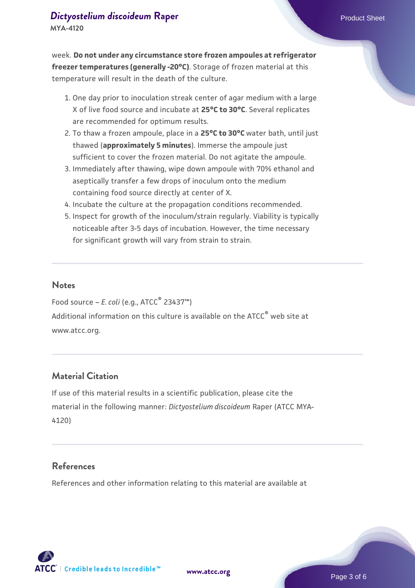week. **Do not under any circumstance store frozen ampoules at refrigerator freezer temperatures (generally -20°C)**. Storage of frozen material at this temperature will result in the death of the culture.

- 1. One day prior to inoculation streak center of agar medium with a large X of live food source and incubate at **25°C to 30°C**. Several replicates are recommended for optimum results.
- To thaw a frozen ampoule, place in a **25°C to 30°C** water bath, until just 2. thawed (**approximately 5 minutes**). Immerse the ampoule just sufficient to cover the frozen material. Do not agitate the ampoule.
- 3. Immediately after thawing, wipe down ampoule with 70% ethanol and aseptically transfer a few drops of inoculum onto the medium containing food source directly at center of X.
- 4. Incubate the culture at the propagation conditions recommended.
- 5. Inspect for growth of the inoculum/strain regularly. Viability is typically noticeable after 3-5 days of incubation. However, the time necessary for significant growth will vary from strain to strain.

## **Notes**

Food source – *E. coli* (e.g., ATCC® 23437™) Additional information on this culture is available on the ATCC<sup>®</sup> web site at www.atcc.org.

## **Material Citation**

If use of this material results in a scientific publication, please cite the material in the following manner: *Dictyostelium discoideum* Raper (ATCC MYA-4120)

## **References**

References and other information relating to this material are available at

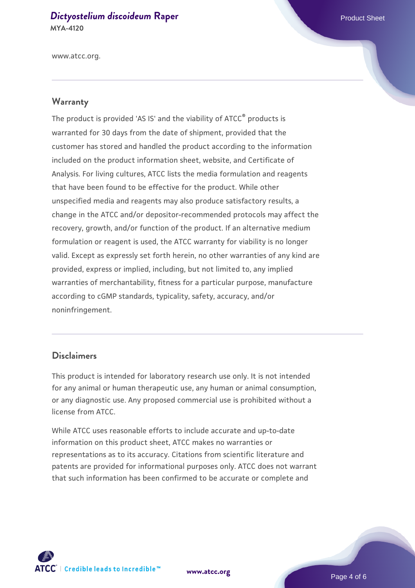#### *[Dictyostelium discoideum](https://www.atcc.org/products/mya-4120)* [Raper](https://www.atcc.org/products/mya-4120) **Product Sheet** Product Sheet **MYA-4120**

www.atcc.org.

#### **Warranty**

The product is provided 'AS IS' and the viability of ATCC® products is warranted for 30 days from the date of shipment, provided that the customer has stored and handled the product according to the information included on the product information sheet, website, and Certificate of Analysis. For living cultures, ATCC lists the media formulation and reagents that have been found to be effective for the product. While other unspecified media and reagents may also produce satisfactory results, a change in the ATCC and/or depositor-recommended protocols may affect the recovery, growth, and/or function of the product. If an alternative medium formulation or reagent is used, the ATCC warranty for viability is no longer valid. Except as expressly set forth herein, no other warranties of any kind are provided, express or implied, including, but not limited to, any implied warranties of merchantability, fitness for a particular purpose, manufacture according to cGMP standards, typicality, safety, accuracy, and/or noninfringement.

## **Disclaimers**

This product is intended for laboratory research use only. It is not intended for any animal or human therapeutic use, any human or animal consumption, or any diagnostic use. Any proposed commercial use is prohibited without a license from ATCC.

While ATCC uses reasonable efforts to include accurate and up-to-date information on this product sheet, ATCC makes no warranties or representations as to its accuracy. Citations from scientific literature and patents are provided for informational purposes only. ATCC does not warrant that such information has been confirmed to be accurate or complete and



**[www.atcc.org](http://www.atcc.org)**

Page 4 of 6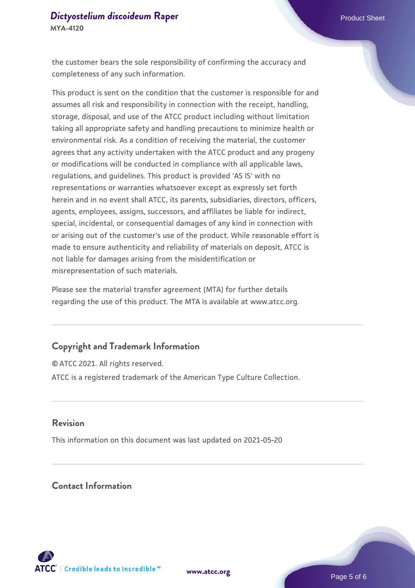the customer bears the sole responsibility of confirming the accuracy and completeness of any such information.

This product is sent on the condition that the customer is responsible for and assumes all risk and responsibility in connection with the receipt, handling, storage, disposal, and use of the ATCC product including without limitation taking all appropriate safety and handling precautions to minimize health or environmental risk. As a condition of receiving the material, the customer agrees that any activity undertaken with the ATCC product and any progeny or modifications will be conducted in compliance with all applicable laws, regulations, and guidelines. This product is provided 'AS IS' with no representations or warranties whatsoever except as expressly set forth herein and in no event shall ATCC, its parents, subsidiaries, directors, officers, agents, employees, assigns, successors, and affiliates be liable for indirect, special, incidental, or consequential damages of any kind in connection with or arising out of the customer's use of the product. While reasonable effort is made to ensure authenticity and reliability of materials on deposit, ATCC is not liable for damages arising from the misidentification or misrepresentation of such materials.

Please see the material transfer agreement (MTA) for further details regarding the use of this product. The MTA is available at www.atcc.org.

## **Copyright and Trademark Information**

© ATCC 2021. All rights reserved. ATCC is a registered trademark of the American Type Culture Collection.

#### **Revision**

This information on this document was last updated on 2021-05-20

## **Contact Information**